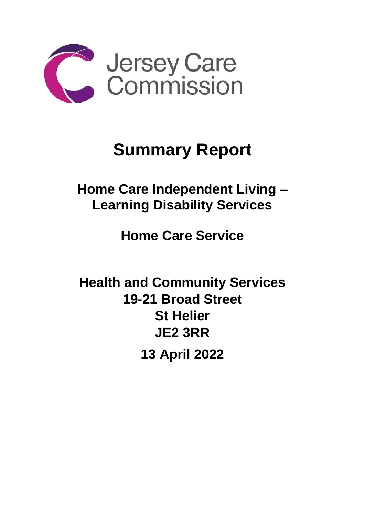

## **Summary Report**

**Home Care Independent Living – Learning Disability Services** 

**Home Care Service**

**Health and Community Services 19-21 Broad Street St Helier JE2 3RR 13 April 2022**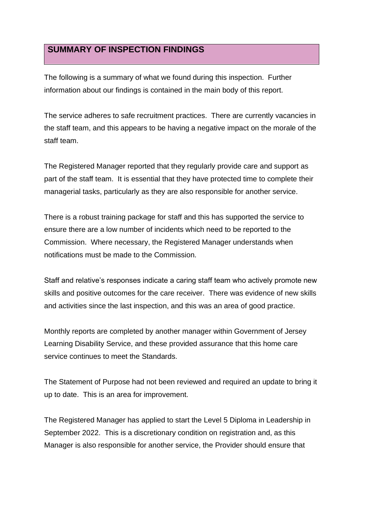## **SUMMARY OF INSPECTION FINDINGS**

The following is a summary of what we found during this inspection. Further information about our findings is contained in the main body of this report.

The service adheres to safe recruitment practices. There are currently vacancies in the staff team, and this appears to be having a negative impact on the morale of the staff team.

The Registered Manager reported that they regularly provide care and support as part of the staff team. It is essential that they have protected time to complete their managerial tasks, particularly as they are also responsible for another service.

There is a robust training package for staff and this has supported the service to ensure there are a low number of incidents which need to be reported to the Commission. Where necessary, the Registered Manager understands when notifications must be made to the Commission.

Staff and relative's responses indicate a caring staff team who actively promote new skills and positive outcomes for the care receiver. There was evidence of new skills and activities since the last inspection, and this was an area of good practice.

Monthly reports are completed by another manager within Government of Jersey Learning Disability Service, and these provided assurance that this home care service continues to meet the Standards.

The Statement of Purpose had not been reviewed and required an update to bring it up to date. This is an area for improvement.

The Registered Manager has applied to start the Level 5 Diploma in Leadership in September 2022. This is a discretionary condition on registration and, as this Manager is also responsible for another service, the Provider should ensure that